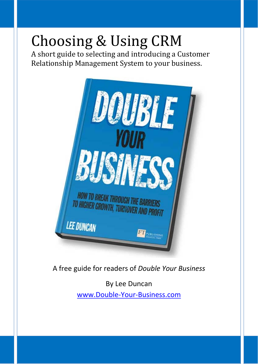# Choosing & Using CRM

A short guide to selecting and introducing a Customer Relationship Management System to your business.



A free guide for readers of *Double Your Business*

By Lee Duncan www.Double‐Your‐Business.com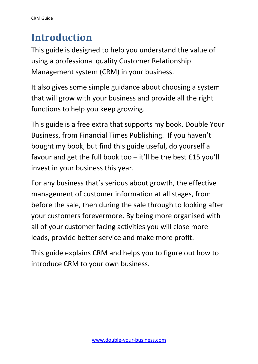### **Introduction**

This guide is designed to help you understand the value of using a professional quality Customer Relationship Management system (CRM) in your business.

It also gives some simple guidance about choosing a system that will grow with your business and provide all the right functions to help you keep growing.

This guide is a free extra that supports my book, Double Your Business, from Financial Times Publishing. If you haven't bought my book, but find this guide useful, do yourself a favour and get the full book too  $-$  it'll be the best £15 you'll invest in your business this year.

For any business that's serious about growth, the effective management of customer information at all stages, from before the sale, then during the sale through to looking after your customers forevermore. By being more organised with all of your customer facing activities you will close more leads, provide better service and make more profit.

This guide explains CRM and helps you to figure out how to introduce CRM to your own business.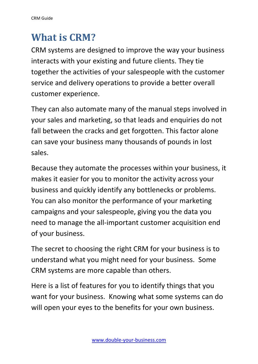### **What is CRM?**

CRM systems are designed to improve the way your business interacts with your existing and future clients. They tie together the activities of your salespeople with the customer service and delivery operations to provide a better overall customer experience.

They can also automate many of the manual steps involved in your sales and marketing, so that leads and enquiries do not fall between the cracks and get forgotten. This factor alone can save your business many thousands of pounds in lost sales.

Because they automate the processes within your business, it makes it easier for you to monitor the activity across your business and quickly identify any bottlenecks or problems. You can also monitor the performance of your marketing campaigns and your salespeople, giving you the data you need to manage the all‐important customer acquisition end of your business.

The secret to choosing the right CRM for your business is to understand what you might need for your business. Some CRM systems are more capable than others.

Here is a list of features for you to identify things that you want for your business. Knowing what some systems can do will open your eyes to the benefits for your own business.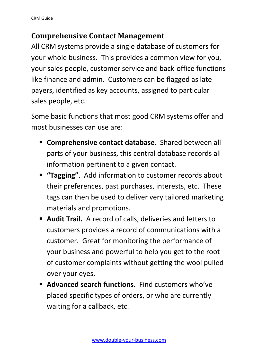#### **Comprehensive Contact Management**

All CRM systems provide a single database of customers for your whole business. This provides a common view for you, your sales people, customer service and back‐office functions like finance and admin. Customers can be flagged as late payers, identified as key accounts, assigned to particular sales people, etc.

Some basic functions that most good CRM systems offer and most businesses can use are:

- **Comprehensive contact database**. Shared between all parts of your business, this central database records all information pertinent to a given contact.
- **"Tagging"**. Add information to customer records about their preferences, past purchases, interests, etc. These tags can then be used to deliver very tailored marketing materials and promotions.
- **Audit Trail.** A record of calls, deliveries and letters to customers provides a record of communications with a customer. Great for monitoring the performance of your business and powerful to help you get to the root of customer complaints without getting the wool pulled over your eyes.
- **Advanced search functions.** Find customers who've placed specific types of orders, or who are currently waiting for a callback, etc.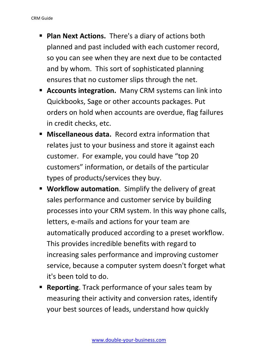- **Plan Next Actions.** There's a diary of actions both planned and past included with each customer record, so you can see when they are next due to be contacted and by whom. This sort of sophisticated planning ensures that no customer slips through the net.
- **Accounts integration.** Many CRM systems can link into Quickbooks, Sage or other accounts packages. Put orders on hold when accounts are overdue, flag failures in credit checks, etc.
- **Miscellaneous data.** Record extra information that relates just to your business and store it against each customer. For example, you could have "top 20 customers" information, or details of the particular types of products/services they buy.
- **Workflow automation**. Simplify the delivery of great sales performance and customer service by building processes into your CRM system. In this way phone calls, letters, e‐mails and actions for your team are automatically produced according to a preset workflow. This provides incredible benefits with regard to increasing sales performance and improving customer service, because a computer system doesn't forget what it's been told to do.
- **Reporting**. Track performance of your sales team by measuring their activity and conversion rates, identify your best sources of leads, understand how quickly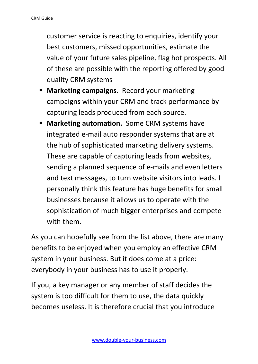customer service is reacting to enquiries, identify your best customers, missed opportunities, estimate the value of your future sales pipeline, flag hot prospects. All of these are possible with the reporting offered by good quality CRM systems

- **Marketing campaigns**. Record your marketing campaigns within your CRM and track performance by capturing leads produced from each source.
- **Marketing automation.** Some CRM systems have integrated e‐mail auto responder systems that are at the hub of sophisticated marketing delivery systems. These are capable of capturing leads from websites, sending a planned sequence of e‐mails and even letters and text messages, to turn website visitors into leads. I personally think this feature has huge benefits for small businesses because it allows us to operate with the sophistication of much bigger enterprises and compete with them.

As you can hopefully see from the list above, there are many benefits to be enjoyed when you employ an effective CRM system in your business. But it does come at a price: everybody in your business has to use it properly.

If you, a key manager or any member of staff decides the system is too difficult for them to use, the data quickly becomes useless. It is therefore crucial that you introduce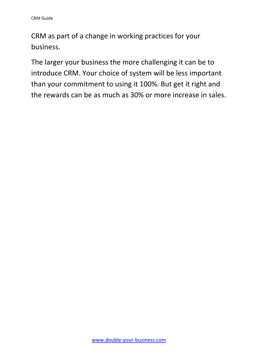CRM as part of a change in working practices for your business.

The larger your business the more challenging it can be to introduce CRM. Your choice of system will be less important than your commitment to using it 100%. But get it right and the rewards can be as much as 30% or more increase in sales.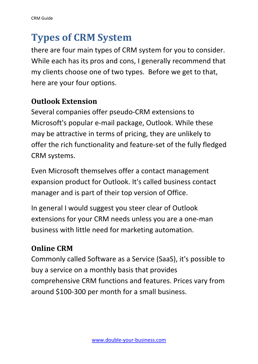### **Types of CRM System**

there are four main types of CRM system for you to consider. While each has its pros and cons, I generally recommend that my clients choose one of two types. Before we get to that, here are your four options.

#### **Outlook Extension**

Several companies offer pseudo‐CRM extensions to Microsoft's popular e‐mail package, Outlook. While these may be attractive in terms of pricing, they are unlikely to offer the rich functionality and feature‐set of the fully fledged CRM systems.

Even Microsoft themselves offer a contact management expansion product for Outlook. It's called business contact manager and is part of their top version of Office.

In general I would suggest you steer clear of Outlook extensions for your CRM needs unless you are a one‐man business with little need for marketing automation.

#### **Online CRM**

Commonly called Software as a Service (SaaS), it's possible to buy a service on a monthly basis that provides comprehensive CRM functions and features. Prices vary from around \$100‐300 per month for a small business.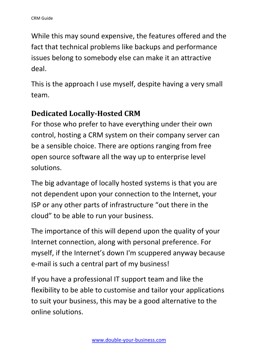While this may sound expensive, the features offered and the fact that technical problems like backups and performance issues belong to somebody else can make it an attractive deal.

This is the approach I use myself, despite having a very small team.

#### **Dedicated Locally‐Hosted CRM**

For those who prefer to have everything under their own control, hosting a CRM system on their company server can be a sensible choice. There are options ranging from free open source software all the way up to enterprise level solutions.

The big advantage of locally hosted systems is that you are not dependent upon your connection to the Internet, your ISP or any other parts of infrastructure "out there in the cloud" to be able to run your business.

The importance of this will depend upon the quality of your Internet connection, along with personal preference. For myself, if the Internet's down I'm scuppered anyway because e‐mail is such a central part of my business!

If you have a professional IT support team and like the flexibility to be able to customise and tailor your applications to suit your business, this may be a good alternative to the online solutions.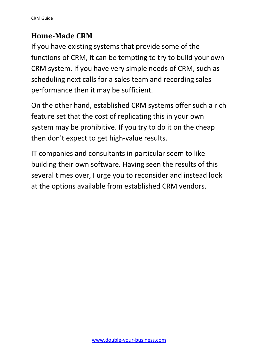#### **Home‐Made CRM**

If you have existing systems that provide some of the functions of CRM, it can be tempting to try to build your own CRM system. If you have very simple needs of CRM, such as scheduling next calls for a sales team and recording sales performance then it may be sufficient.

On the other hand, established CRM systems offer such a rich feature set that the cost of replicating this in your own system may be prohibitive. If you try to do it on the cheap then don't expect to get high‐value results.

IT companies and consultants in particular seem to like building their own software. Having seen the results of this several times over, I urge you to reconsider and instead look at the options available from established CRM vendors.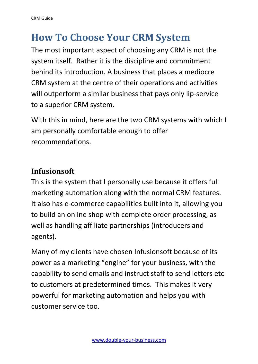### **How To Choose Your CRM System**

The most important aspect of choosing any CRM is not the system itself. Rather it is the discipline and commitment behind its introduction. A business that places a mediocre CRM system at the centre of their operations and activities will outperform a similar business that pays only lip-service to a superior CRM system.

With this in mind, here are the two CRM systems with which I am personally comfortable enough to offer recommendations.

#### **Infusionsoft**

This is the system that I personally use because it offers full marketing automation along with the normal CRM features. It also has e‐commerce capabilities built into it, allowing you to build an online shop with complete order processing, as well as handling affiliate partnerships (introducers and agents).

Many of my clients have chosen Infusionsoft because of its power as a marketing "engine" for your business, with the capability to send emails and instruct staff to send letters etc to customers at predetermined times. This makes it very powerful for marketing automation and helps you with customer service too.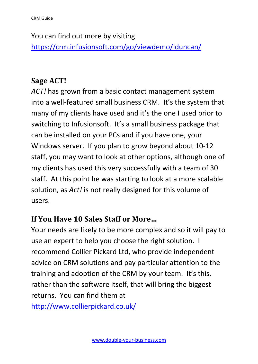You can find out more by visiting https://crm.infusionsoft.com/go/viewdemo/lduncan/

#### **Sage ACT!**

*ACT!* has grown from a basic contact management system into a well‐featured small business CRM. It's the system that many of my clients have used and it's the one I used prior to switching to Infusionsoft. It's a small business package that can be installed on your PCs and if you have one, your Windows server. If you plan to grow beyond about 10‐12 staff, you may want to look at other options, although one of my clients has used this very successfully with a team of 30 staff. At this point he was starting to look at a more scalable solution, as *Act!* is not really designed for this volume of users.

#### **If You Have 10 Sales Staff or More…**

Your needs are likely to be more complex and so it will pay to use an expert to help you choose the right solution. I recommend Collier Pickard Ltd, who provide independent advice on CRM solutions and pay particular attention to the training and adoption of the CRM by your team. It's this, rather than the software itself, that will bring the biggest returns. You can find them at http://www.collierpickard.co.uk/